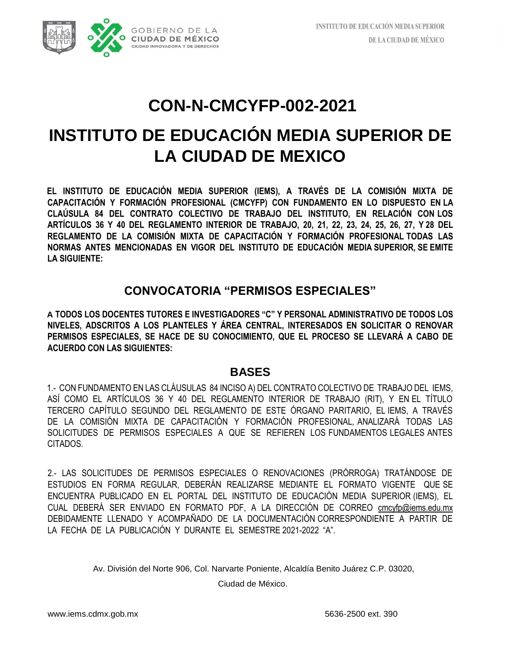# **INSTITUTO DE EDUCACIÓN MEDIA SUPERIOR DE LA CIUDAD DE MEXICO**

**EL INSTITUTO DE EDUCACIÓN MEDIA SUPERIOR (IEMS), A TRAVÉS DE LA COMISIÓN MIXTA DE CAPACITACIÓN Y FORMACIÓN PROFESIONAL (CMCYFP) CON FUNDAMENTO EN LO DISPUESTO EN LA CLAÚSULA 84 DEL CONTRATO COLECTIVO DE TRABAJO DEL INSTITUTO, EN RELACIÓN CON LOS ARTÍCULOS 36 Y 40 DEL REGLAMENTO INTERIOR DE TRABAJO, 20, 21, 22, 23, 24, 25, 26, 27, Y 28 DEL REGLAMENTO DE LA COMISIÓN MIXTA DE CAPACITACIÓN Y FORMACIÓN PROFESIONAL TODAS LAS NORMAS ANTES MENCIONADAS EN VIGOR DEL INSTITUTO DE EDUCACIÓN MEDIA SUPERIOR, SE EMITE LA SIGUIENTE:** 

## **CONVOCATORIA "PERMISOS ESPECIALES"**

**A TODOS LOS DOCENTES TUTORES E INVESTIGADORES "C" Y PERSONAL ADMINISTRATIVO DE TODOS LOS NIVELES, ADSCRITOS A LOS PLANTELES Y ÁREA CENTRAL, INTERESADOS EN SOLICITAR O RENOVAR PERMISOS ESPECIALES, SE HACE DE SU CONOCIMIENTO, QUE EL PROCESO SE LLEVARÁ A CABO DE ACUERDO CON LAS SIGUIENTES:** 

### **BASES**

1.- CON FUNDAMENTO EN LAS CLÁUSULAS 84 INCISO A) DEL CONTRATO COLECTIVO DE TRABAJO DEL IEMS, ASÍ COMO EL ARTÍCULOS 36 Y 40 DEL REGLAMENTO INTERIOR DE TRABAJO (RIT), Y EN EL TÍTULO TERCERO CAPÍTULO SEGUNDO DEL REGLAMENTO DE ESTE ÓRGANO PARITARIO, EL IEMS, A TRAVÉS DE LA COMISIÓN MIXTA DE CAPACITACIÓN Y FORMACIÓN PROFESIONAL, ANALIZARÁ TODAS LAS SOLICITUDES DE PERMISOS ESPECIALES A QUE SE REFIEREN LOS FUNDAMENTOS LEGALES ANTES CITADOS.

2.- LAS SOLICITUDES DE PERMISOS ESPECIALES O RENOVACIONES (PRÓRROGA) TRATÁNDOSE DE ESTUDIOS EN FORMA REGULAR, DEBERÁN REALIZARSE MEDIANTE EL FORMATO VIGENTE QUE SE ENCUENTRA PUBLICADO EN EL PORTAL DEL INSTITUTO DE EDUCACIÓN MEDIA SUPERIOR (IEMS), EL CUAL DEBERÁ SER ENVIADO EN FORMATO PDF, A LA DIRECCIÓN DE CORREO cmcyfp@iems.edu.mx DEBIDAMENTE LLENADO Y ACOMPAÑADO DE LA DOCUMENTACIÓN CORRESPONDIENTE A PARTIR DE LA FECHA DE LA PUBLICACIÓN Y DURANTE EL SEMESTRE 2021-2022 "A".

Av. División del Norte 906, Col. Narvarte Poniente, Alcaldía Benito Juárez C.P. 03020,

Ciudad de México.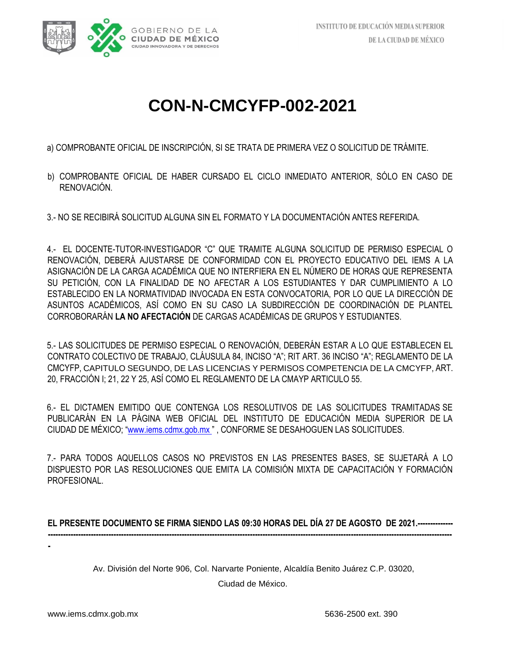

a) COMPROBANTE OFICIAL DE INSCRIPCIÓN, SI SE TRATA DE PRIMERA VEZ O SOLICITUD DE TRÁMITE.

- b) COMPROBANTE OFICIAL DE HABER CURSADO EL CICLO INMEDIATO ANTERIOR, SÓLO EN CASO DE RENOVACIÓN.
- 3.- NO SE RECIBIRÁ SOLICITUD ALGUNA SIN EL FORMATO Y LA DOCUMENTACIÓN ANTES REFERIDA.

4.- EL DOCENTE-TUTOR-INVESTIGADOR "C" QUE TRAMITE ALGUNA SOLICITUD DE PERMISO ESPECIAL O RENOVACIÓN, DEBERÁ AJUSTARSE DE CONFORMIDAD CON EL PROYECTO EDUCATIVO DEL IEMS A LA ASIGNACIÓN DE LA CARGA ACADÉMICA QUE NO INTERFIERA EN EL NÚMERO DE HORAS QUE REPRESENTA SU PETICIÓN, CON LA FINALIDAD DE NO AFECTAR A LOS ESTUDIANTES Y DAR CUMPLIMIENTO A LO ESTABLECIDO EN LA NORMATIVIDAD INVOCADA EN ESTA CONVOCATORIA, POR LO QUE LA DIRECCIÓN DE ASUNTOS ACADÉMICOS, ASÍ COMO EN SU CASO LA SUBDIRECCIÓN DE COORDINACIÓN DE PLANTEL CORROBORARÁN **LA NO AFECTACIÓN** DE CARGAS ACADÉMICAS DE GRUPOS Y ESTUDIANTES.

5.- LAS SOLICITUDES DE PERMISO ESPECIAL O RENOVACIÓN, DEBERÁN ESTAR A LO QUE ESTABLECEN EL CONTRATO COLECTIVO DE TRABAJO, CLÁUSULA 84, INCISO "A"; RIT ART. 36 INCISO "A"; REGLAMENTO DE LA CMCYFP, CAPITULO SEGUNDO, DE LAS LICENCIAS Y PERMISOS COMPETENCIA DE LA CMCYFP, ART. 20, FRACCIÓN I; 21, 22 Y 25, ASÍ COMO EL REGLAMENTO DE LA CMAYP ARTICULO 55.

6.- EL DICTAMEN EMITIDO QUE CONTENGA LOS RESOLUTIVOS DE LAS SOLICITUDES TRAMITADAS SE PUBLICARÁN EN LA PÁGINA WEB OFICIAL DEL INSTITUTO DE EDUCACIÓN MEDIA SUPERIOR DE LA CIUDAD DE MÉXICO; ["](about:blank)[www.iems.cdmx.gob.mx](about:blank) ["](about:blank) , CONFORME SE DESAHOGUEN LAS SOLICITUDES.

7.- PARA TODOS AQUELLOS CASOS NO PREVISTOS EN LAS PRESENTES BASES, SE SUJETARÁ A LO DISPUESTO POR LAS RESOLUCIONES QUE EMITA LA COMISIÓN MIXTA DE CAPACITACIÓN Y FORMACIÓN PROFESIONAL.

#### **EL PRESENTE DOCUMENTO SE FIRMA SIENDO LAS 09:30 HORAS DEL DÍA 27 DE AGOSTO DE 2021.-------------- ----------------------------------------------------------------------------------------------------------------------------------------------------------------**

**-**

Av. División del Norte 906, Col. Narvarte Poniente, Alcaldía Benito Juárez C.P. 03020, Ciudad de México.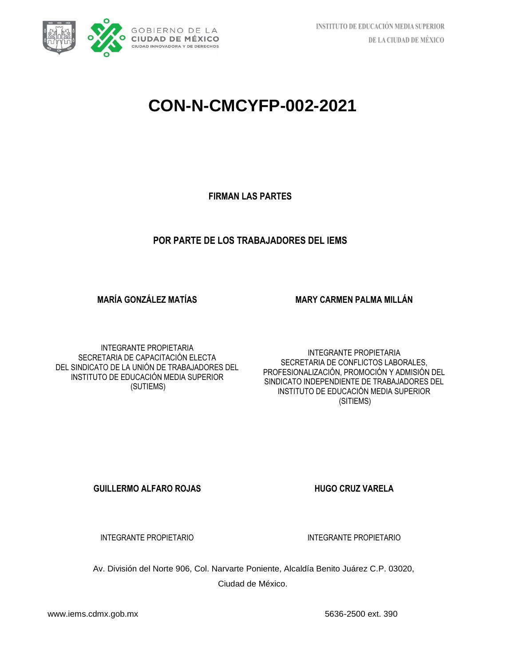

**FIRMAN LAS PARTES**

#### **POR PARTE DE LOS TRABAJADORES DEL IEMS**

**MARÍA GONZÁLEZ MATÍAS** 

**MARY CARMEN PALMA MILLÁN**

INTEGRANTE PROPIETARIA SECRETARIA DE CAPACITACIÓN ELECTA DEL SINDICATO DE LA UNIÓN DE TRABAJADORES DEL INSTITUTO DE EDUCACIÓN MEDIA SUPERIOR (SUTIEMS)

INTEGRANTE PROPIETARIA SECRETARIA DE CONFLICTOS LABORALES, PROFESIONALIZACIÓN, PROMOCIÓN Y ADMISIÓN DEL SINDICATO INDEPENDIENTE DE TRABAJADORES DEL INSTITUTO DE EDUCACIÓN MEDIA SUPERIOR (SITIEMS)

**GUILLERMO ALFARO ROJAS HUGO CRUZ VARELA** 

INTEGRANTE PROPIETARIO **INTEGRANTE PROPIETARIO** 

Av. División del Norte 906, Col. Narvarte Poniente, Alcaldía Benito Juárez C.P. 03020, Ciudad de México.